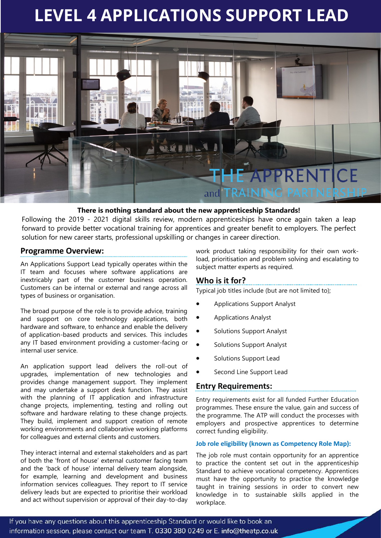# **LEVEL 4 APPLICATIONS SUPPORT LEAD**



## **There is nothing standard about the new apprenticeship Standards!**

Following the 2019 - 2021 digital skills review, modern apprenticeships have once again taken a leap forward to provide better vocational training for apprentices and greater benefit to employers. The perfect solution for new career starts, professional upskilling or changes in career direction.

## **Programme Overview:**

An Applications Support Lead typically operates within the IT team and focuses where software applications are inextricably part of the customer business operation. Customers can be internal or external and range across all types of business or organisation.

The broad purpose of the role is to provide advice, training and support on core technology applications, both hardware and software, to enhance and enable the delivery of application-based products and services. This includes any IT based environment providing a customer-facing or internal user service.

An application support lead delivers the roll-out of upgrades, implementation of new technologies and provides change management support. They implement and may undertake a support desk function. They assist with the planning of IT application and infrastructure change projects, implementing, testing and rolling out software and hardware relating to these change projects. They build, implement and support creation of remote working environments and collaborative working platforms for colleagues and external clients and customers.

They interact internal and external stakeholders and as part of both the 'front of house' external customer facing team and the 'back of house' internal delivery team alongside, for example, learning and development and business information services colleagues. They report to IT service delivery leads but are expected to prioritise their workload and act without supervision or approval of their day-to-day

work product taking responsibility for their own workload, prioritisation and problem solving and escalating to subject matter experts as required.

## **Who is it for?**

Typical job titles include (but are not limited to);

- Applications Support Analyst
- Applications Analyst
- Solutions Support Analyst
- Solutions Support Analyst
- Solutions Support Lead
- Second Line Support Lead

## **Entry Requirements:**

Entry requirements exist for all funded Further Education programmes. These ensure the value, gain and success of the programme. The ATP will conduct the processes with employers and prospective apprentices to determine correct funding eligibility.

## **Job role eligibility (known as Competency Role Map):**

The job role must contain opportunity for an apprentice to practice the content set out in the apprenticeship Standard to achieve vocational competency. Apprentices must have the opportunity to practice the knowledge taught in training sessions in order to convert new knowledge in to sustainable skills applied in the workplace.

If you have any questions about this apprenticeship Standard or would like to book an information session, please contact our team T. 0330 380 0249 or E. info@theatp.co.uk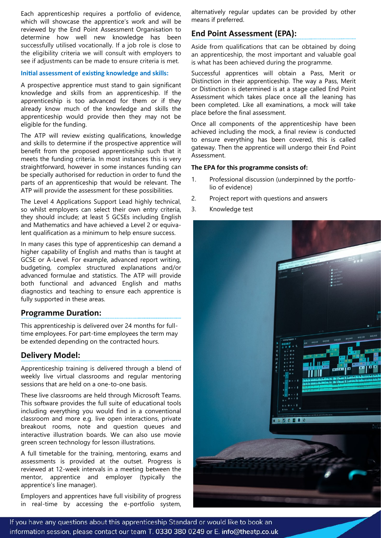Each apprenticeship requires a portfolio of evidence, which will showcase the apprentice's work and will be reviewed by the End Point Assessment Organisation to determine how well new knowledge has been successfully utilised vocationally. If a job role is close to the eligibility criteria we will consult with employers to see if adjustments can be made to ensure criteria is met.

#### **Initial assessment of existing knowledge and skills:**

A prospective apprentice must stand to gain significant knowledge and skills from an apprenticeship. If the apprenticeship is too advanced for them or if they already know much of the knowledge and skills the apprenticeship would provide then they may not be eligible for the funding.

The ATP will review existing qualifications, knowledge and skills to determine if the prospective apprentice will benefit from the proposed apprenticeship such that it meets the funding criteria. In most instances this is very straightforward, however in some instances funding can be specially authorised for reduction in order to fund the parts of an apprenticeship that would be relevant. The ATP will provide the assessment for these possibilities.

The Level 4 Applications Support Lead highly technical, so whilst employers can select their own entry criteria, they should include; at least 5 GCSEs including English and Mathematics and have achieved a Level 2 or equivalent qualification as a minimum to help ensure success.

In many cases this type of apprenticeship can demand a higher capability of English and maths than is taught at GCSE or A-Level. For example, advanced report writing, budgeting, complex structured explanations and/or advanced formulae and statistics. The ATP will provide both functional and advanced English and maths diagnostics and teaching to ensure each apprentice is fully supported in these areas.

## **Programme Duration:**

This apprenticeship is delivered over 24 months for fulltime employees. For part-time employees the term may be extended depending on the contracted hours.

# **Delivery Model:**

Apprenticeship training is delivered through a blend of weekly live virtual classrooms and regular mentoring sessions that are held on a one-to-one basis.

These live classrooms are held through Microsoft Teams. This software provides the full suite of educational tools including everything you would find in a conventional classroom and more e.g. live open interactions, private breakout rooms, note and question queues and interactive illustration boards. We can also use movie green screen technology for lesson illustrations.

A full timetable for the training, mentoring, exams and assessments is provided at the outset. Progress is reviewed at 12-week intervals in a meeting between the mentor, apprentice and employer (typically the apprentice's line manager).

Employers and apprentices have full visibility of progress in real-time by accessing the e-portfolio system,

alternatively regular updates can be provided by other means if preferred.

# **End Point Assessment (EPA):**

Aside from qualifications that can be obtained by doing an apprenticeship, the most important and valuable goal is what has been achieved during the programme.

Successful apprentices will obtain a Pass, Merit or Distinction in their apprenticeship. The way a Pass, Merit or Distinction is determined is at a stage called End Point Assessment which takes place once all the leaning has been completed. Like all examinations, a mock will take place before the final assessment.

Once all components of the apprenticeship have been achieved including the mock, a final review is conducted to ensure everything has been covered, this is called gateway. Then the apprentice will undergo their End Point Assessment.

## **The EPA for this programme consists of:**

- 1. Professional discussion (underpinned by the portfolio of evidence)
- 2. Project report with questions and answers
- 3. Knowledge test



If you have any questions about this apprenticeship Standard or would like to book an information session, please contact our team T. 0330 380 0249 or E. info@theatp.co.uk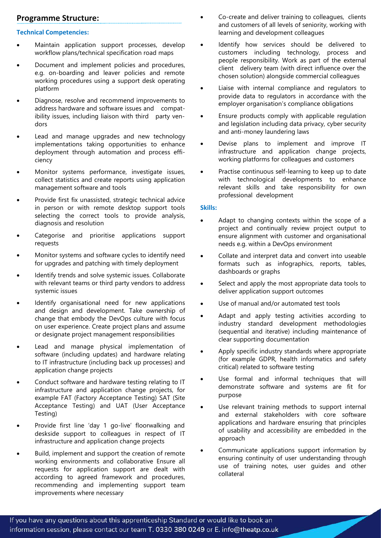# **Programme Structure:**

## **Technical Competencies:**

- Maintain application support processes, develop workflow plans/technical specification road maps
- Document and implement policies and procedures, e.g. on-boarding and leaver policies and remote working procedures using a support desk operating platform
- Diagnose, resolve and recommend improvements to address hardware and software issues and compatibility issues, including liaison with third party vendors
- Lead and manage upgrades and new technology implementations taking opportunities to enhance deployment through automation and process efficiency
- Monitor systems performance, investigate issues, collect statistics and create reports using application management software and tools
- Provide first fix unassisted, strategic technical advice in person or with remote desktop support tools selecting the correct tools to provide analysis, diagnosis and resolution
- Categorise and prioritise applications support requests
- Monitor systems and software cycles to identify need for upgrades and patching with timely deployment
- Identify trends and solve systemic issues. Collaborate with relevant teams or third party vendors to address systemic issues
- Identify organisational need for new applications and design and development. Take ownership of change that embody the DevOps culture with focus on user experience. Create project plans and assume or designate project management responsibilities
- Lead and manage physical implementation of software (including updates) and hardware relating to IT infrastructure (including back up processes) and application change projects
- Conduct software and hardware testing relating to IT infrastructure and application change projects, for example FAT (Factory Acceptance Testing) SAT (Site Acceptance Testing) and UAT (User Acceptance Testing)
- Provide first line 'day 1 go-live' floorwalking and deskside support to colleagues in respect of IT infrastructure and application change projects
- Build, implement and support the creation of remote working environments and collaborative Ensure all requests for application support are dealt with according to agreed framework and procedures, recommending and implementing support team improvements where necessary
- Co-create and deliver training to colleagues, clients and customers of all levels of seniority, working with learning and development colleagues
- Identify how services should be delivered to customers including technology, process and people responsibility. Work as part of the external client delivery team (with direct influence over the chosen solution) alongside commercial colleagues
- Liaise with internal compliance and regulators to provide data to regulators in accordance with the employer organisation's compliance obligations
- Ensure products comply with applicable regulation and legislation including data privacy, cyber security and anti-money laundering laws
- Devise plans to implement and improve IT infrastructure and application change projects, working platforms for colleagues and customers
- Practise continuous self-learning to keep up to date with technological developments to enhance relevant skills and take responsibility for own professional development

#### **Skills:**

- Adapt to changing contexts within the scope of a project and continually review project output to ensure alignment with customer and organisational needs e.g. within a DevOps environment
- Collate and interpret data and convert into useable formats such as infographics, reports, tables, dashboards or graphs
- Select and apply the most appropriate data tools to deliver application support outcomes
- Use of manual and/or automated test tools
- Adapt and apply testing activities according to industry standard development methodologies (sequential and iterative) including maintenance of clear supporting documentation
- Apply specific industry standards where appropriate (for example GDPR, health informatics and safety critical) related to software testing
- Use formal and informal techniques that will demonstrate software and systems are fit for purpose
- Use relevant training methods to support internal and external stakeholders with core software applications and hardware ensuring that principles of usability and accessibility are embedded in the approach
- Communicate applications support information by ensuring continuity of user understanding through use of training notes, user guides and other collateral